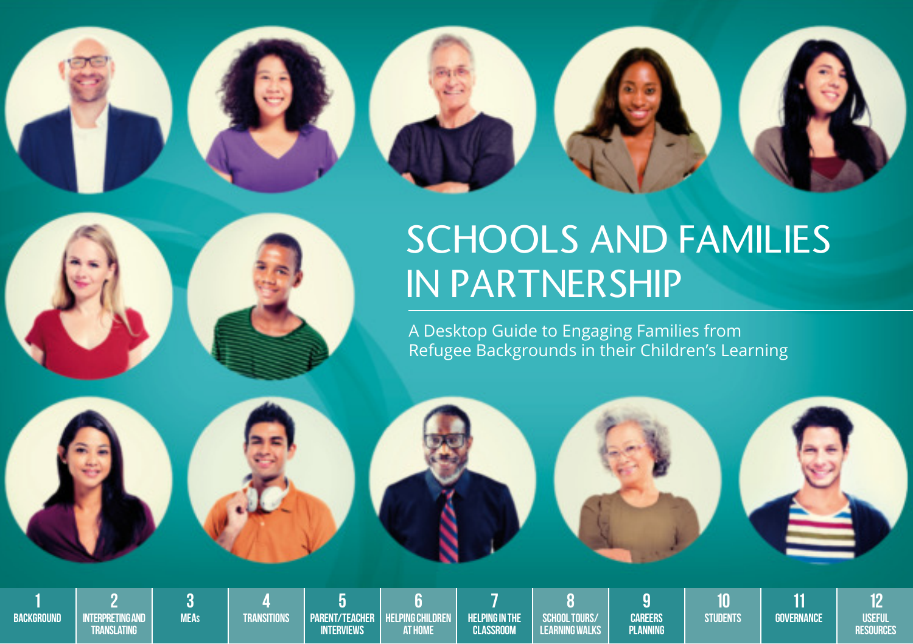



# SCHOOLS AND FAMILIES IN PARTNERSHIP

A Desktop Guide to Engaging Families from Refugee Backgrounds in their Children's Learning



**BACKGROUND** 

**INTERPRETING AND Translating**

**MEAs Transitions**

**Parent/Teacher Interviews**

**HELPING CHILDREN at Home**

**HELPING IN THE Classroom**

**School Tours/ Learning Walks**

**Careers Planning** **Students**

**Governance**

**Useful Resources**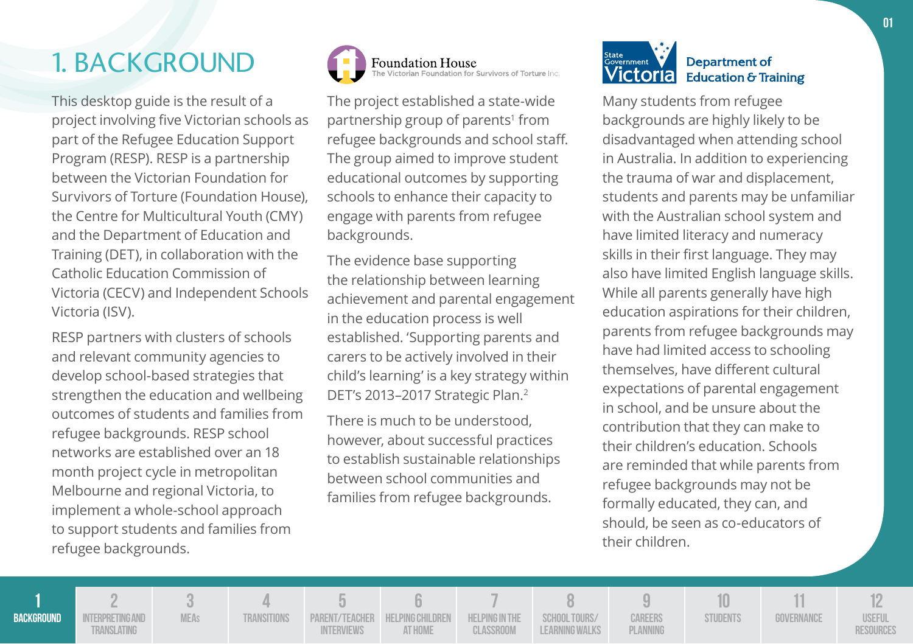## 1. BACKGROUND

This desktop guide is the result of a project involving five Victorian schools as part of the Refugee Education Support Program (RESP). RESP is a partnership between the Victorian Foundation for Survivors of Torture (Foundation House), the Centre for Multicultural Youth (CMY) and the Department of Education and Training (DET), in collaboration with the Catholic Education Commission of Victoria (CECV) and Independent Schools Victoria (ISV).

RESP partners with clusters of schools and relevant community agencies to develop school-based strategies that strengthen the education and wellbeing outcomes of students and families from refugee backgrounds. RESP school networks are established over an 18 month project cycle in metropolitan Melbourne and regional Victoria, to implement a whole-school approach to support students and families from refugee backgrounds.



The project established a state-wide partnership group of parents<sup>1</sup> from refugee backgrounds and school staff. The group aimed to improve student educational outcomes by supporting schools to enhance their capacity to engage with parents from refugee backgrounds.

The evidence base supporting the relationship between learning achievement and parental engagement in the education process is well established. 'Supporting parents and carers to be actively involved in their child's learning' is a key strategy within DET's 2013-2017 Strategic Plan.<sup>2</sup>

There is much to be understood, however, about successful practices to establish sustainable relationships between school communities and families from refugee backgrounds.



Many students from refugee backgrounds are highly likely to be disadvantaged when attending school in Australia. In addition to experiencing the trauma of war and displacement, students and parents may be unfamiliar with the Australian school system and have limited literacy and numeracy skills in their first language. They may also have limited English language skills. While all parents generally have high education aspirations for their children, parents from refugee backgrounds may have had limited access to schooling themselves, have different cultural expectations of parental engagement in school, and be unsure about the contribution that they can make to their children's education. Schools are reminded that while parents from refugee backgrounds may not be formally educated, they can, and should, be seen as co-educators of their children.

**1 BACKGROUND 2 INTERPRETING AND Translating 3 MEAs 4 Transitions 5 Parent/Teacher Interviews 6 Helping Children at Home 7 Helping in the Classroom 8 School Tours/ Learning Walks 9 Careers Planning 10 STUDENTS 11 Governance 12 Useful Resources**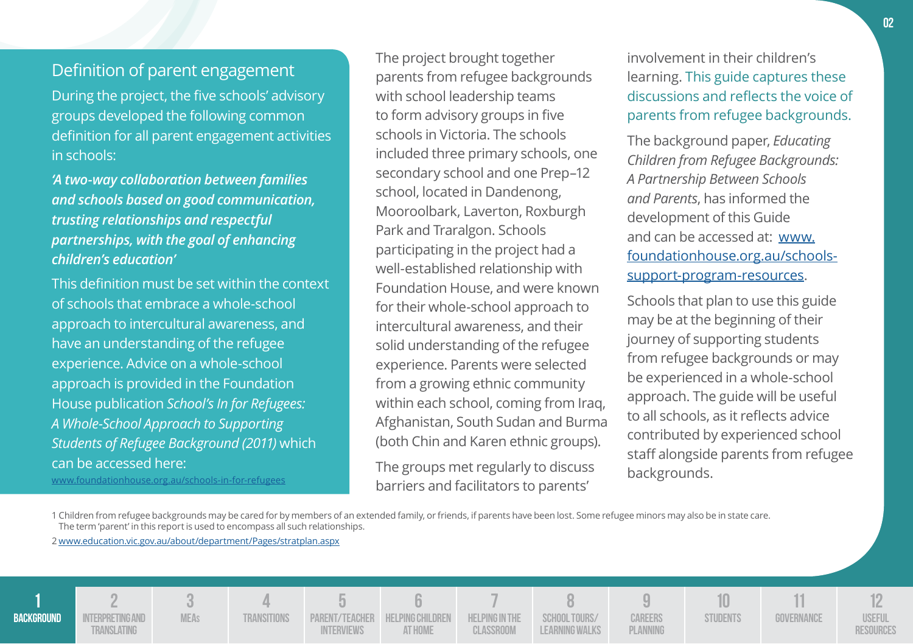### Definition of parent engagement

During the project, the five schools' advisory groups developed the following common definition for all parent engagement activities in schools:

*'A two- way collaboration between families and schools based on good communication, trusting relationships and respectful partnerships, with the goal of enhancing children's education'*

This definition must be set within the context of schools that embrace a whole-school approach to intercultural awareness, and have an understanding of the refugee experience. Advice on a whole-school approach is provided in the Foundation House publication *School's In for Refugees: A Whole-School Approach to Supporting Students of Refugee Background (2011)* which can be accessed here:

www.foundationhouse.org.au/schools-in-for-refugees

The project brought together parents from refugee backgrounds with school leadership teams to form advisory groups in five schools in Victoria. The schools included three primary schools, one secondary school and one Prep–12 school, located in Dandenong, Mooroolbark, Laverton, Roxburgh Park and Traralgon. Schools participating in the project had a well-established relationship with Foundation House, and were known for their whole-school approach to intercultural awareness, and their solid understanding of the refugee experience. Parents were selected from a growing ethnic community within each school, coming from Iraq, Afghanistan, South Sudan and Burma (both Chin and Karen ethnic groups).

The groups met regularly to discuss barriers and facilitators to parents'

involvement in their children's learning. This guide captures these discussions and reflects the voice of parents from refugee backgrounds.

The background paper, *Educating Children from Refugee Backgrounds: A Partnership Between Schools and Parents*, has informed the development of this Guide and can be accessed at: www. foundationhouse.org.au/schoolssupport-program-resources.

Schools that plan to use this guide may be at the beginning of their journey of supporting students from refugee backgrounds or may be experienced in a whole-school approach. The guide will be useful to all schools, as it reflects advice contributed by experienced school staff alongside parents from refugee backgrounds.

1 Children from refugee backgrounds may be cared for by members of an extended family, or friends, if parents have been lost. Some refugee minors may also be in state care. The term 'parent' in this report is used to encompass all such relationships.

2 www.education.vic.gov.au/about/department/Pages/stratplan.aspx

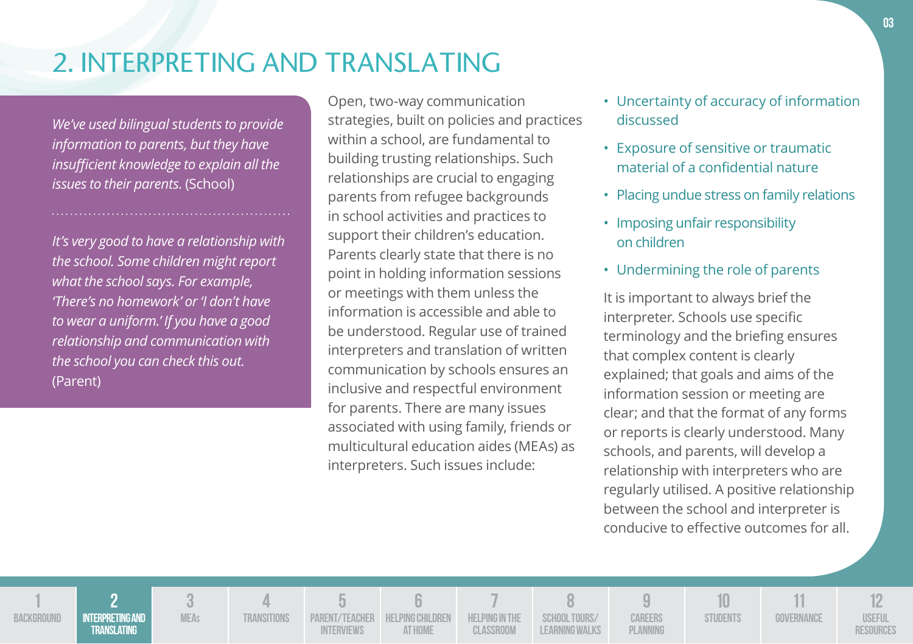## 2. INTERPRETING AND TRANSLATING

*We've used bilingual students to provide information to parents, but they have insufficient knowledge to explain all the issues to their parents.* (School)

*It's very good to have a relationship with the school. Some children might report what the school says. For example, 'There's no homework' or 'I don't have to wear a uniform.' If you have a good relationship and communication with the school you can check this out.*  (Parent)

**1 BACKGROUND** 

**2 Interpreting and Translating**

**3 MEAs**

**4 Transitions**

**5 Parent/Teacher Interviews**

**6 Helping Children at Home**

**7 Helping in the Classroom**

**8 School Tours/ Learning Walks**

**9 Careers Planning**

Open, two-way communication strategies, built on policies and practices within a school, are fundamental to building trusting relationships. Such relationships are crucial to engaging parents from refugee backgrounds in school activities and practices to support their children's education. Parents clearly state that there is no point in holding information sessions or meetings with them unless the information is accessible and able to be understood. Regular use of trained interpreters and translation of written communication by schools ensures an inclusive and respectful environment for parents. There are many issues associated with using family, friends or multicultural education aides (MEAs) as interpreters. Such issues include:

- Uncertainty of accuracy of information discussed
- Exposure of sensitive or traumatic material of a confidential nature
- Placing undue stress on family relations
- Imposing unfair responsibility on children
- Undermining the role of parents

It is important to always brief the interpreter. Schools use specific terminology and the briefing ensures that complex content is clearly explained; that goals and aims of the information session or meeting are clear; and that the format of any forms or reports is clearly understood. Many schools, and parents, will develop a relationship with interpreters who are regularly utilised. A positive relationship between the school and interpreter is conducive to effective outcomes for all.

> **10 STUDENTS**

**11 Governance**

**12 Useful Resources**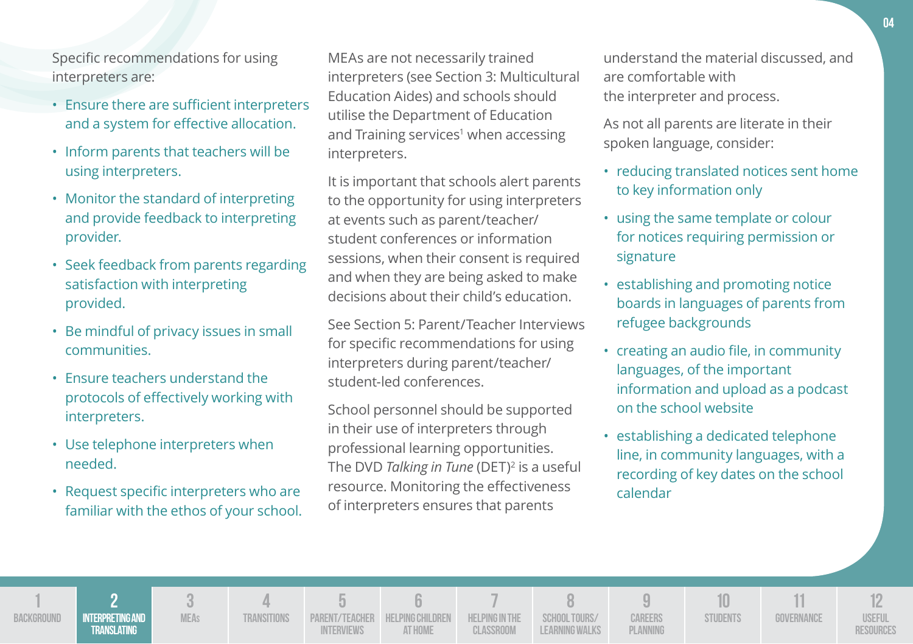Specific recommendations for using interpreters are:

- Ensure there are sufficient interpreters and a system for effective allocation.
- Inform parents that teachers will be using interpreters.
- Monitor the standard of interpreting and provide feedback to interpreting provider.
- Seek feedback from parents regarding satisfaction with interpreting provided.
- Be mindful of privacy issues in small communities.
- Ensure teachers understand the protocols of effectively working with interpreters.
- Use telephone interpreters when needed.
- Request specific interpreters who are familiar with the ethos of your school.

MEAs are not necessarily trained interpreters (see Section 3: Multicultural Education Aides) and schools should utilise the Department of Education and Training services<sup>1</sup> when accessing interpreters.

It is important that schools alert parents to the opportunity for using interpreters at events such as parent/teacher/ student conferences or information sessions, when their consent is required and when they are being asked to make decisions about their child's education.

See Section 5: Parent/Teacher Interviews for specific recommendations for using interpreters during parent/teacher/ student-led conferences.

School personnel should be supported in their use of interpreters through professional learning opportunities. The DVD *Talking in Tune* (DET)<sup>2</sup> is a useful resource. Monitoring the effectiveness of interpreters ensures that parents

understand the material discussed, and are comfortable with the interpreter and process.

As not all parents are literate in their spoken language, consider:

- reducing translated notices sent home to key information only
- using the same template or colour for notices requiring permission or signature
- establishing and promoting notice boards in languages of parents from refugee backgrounds
- creating an audio file, in community languages, of the important information and upload as a podcast on the school website
- establishing a dedicated telephone line, in community languages, with a recording of key dates on the school calendar

**1 BACKGROUND 2 Interpreting and Translating 3 MEAs 4 Transitions 5 Parent/Teacher Interviews 6 Helping Children at Home 7 Helping in the Classroom 8 School Tours/ Learning Walks 9 Careers Planning 10 STUDENTS 11 Governance 12 Useful Resources**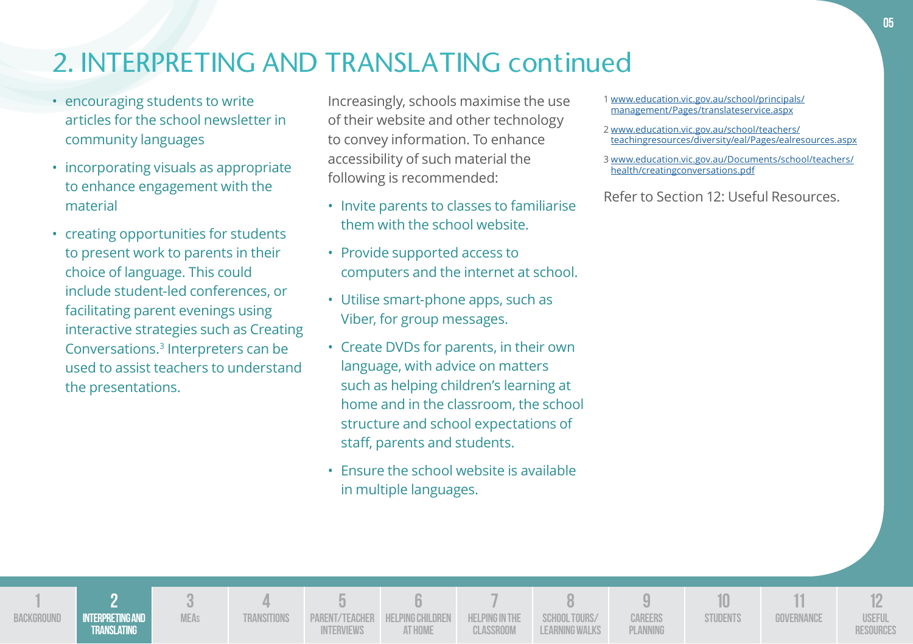## 2. INTERPRETING AND TRANSLATING continued

- encouraging students to write articles for the school newsletter in community languages
- incorporating visuals as appropriate to enhance engagement with the material
- creating opportunities for students to present work to parents in their choice of language. This could include student-led conferences, or facilitating parent evenings using interactive strategies such as Creating Conversations.<sup>3</sup> Interpreters can be used to assist teachers to understand the presentations.

**1 BACKGROUND** 

**INTE** 

Increasingly, schools maximise the use of their website and other technology to convey information. To enhance accessibility of such material the following is recommended:

- Invite parents to classes to familiarise them with the school website.
- Provide supported access to computers and the internet at school.
- Utilise smart-phone apps, such as Viber, for group messages.
- Create DVDs for parents, in their own language, with advice on matters such as helping children's learning at home and in the classroom, the school structure and school expectations of staff, parents and students.
- Ensure the school website is available in multiple languages.

1 www.education.vic.gov.au/school/principals/ management/Pages/translateservice.aspx

- 2 www.education.vic.gov.au/school/teachers/ teachingresources/diversity/eal/Pages/ealresources.aspx
- 3 www.education.vic.gov.au/Documents/school/teachers/ health/creatingconversations.pdf

|                                      |             | $\equiv$   |                                                           |           |                                 |                            |                 |            |                            |
|--------------------------------------|-------------|------------|-----------------------------------------------------------|-----------|---------------------------------|----------------------------|-----------------|------------|----------------------------|
| <b>TERPRETING AND</b><br>TRANSLATING | TRANSITIONS | INTERVIEWS | PARENT/TEACHER HELPING CHILDREN HELPING IN THE<br>AT HOME | CLASSROOM | SCHOOL TOURS/<br>LEARNING WALKS | CAREERS<br><b>PLANNING</b> | <b>STUDENTS</b> | GOVERNANCE | JSEFUL<br><b>RESOURCES</b> |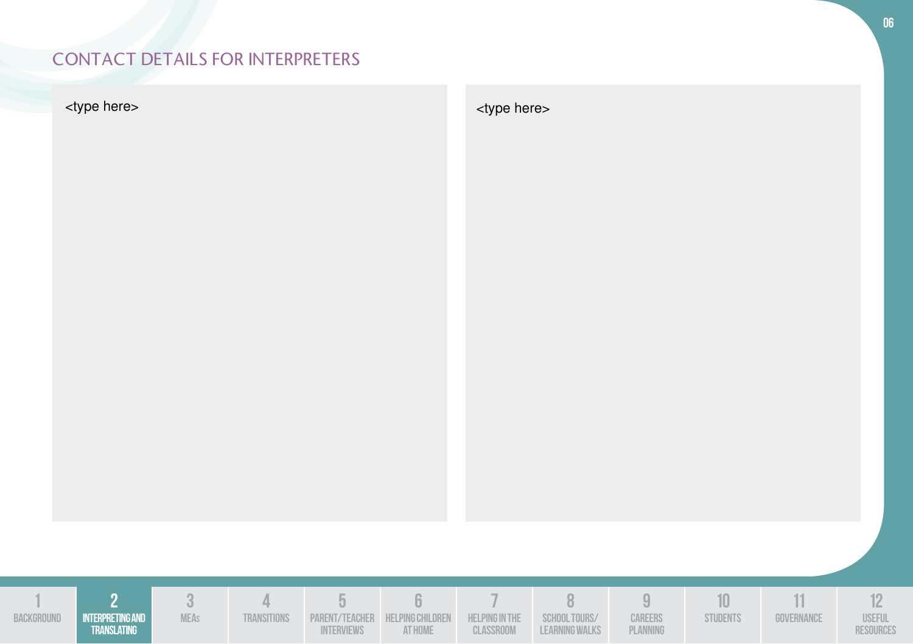## CONTACT DETAILS FOR INTERPRETERS

<type here> <type here> <type here> <type here> <type here> <type here> <type here> <type here> <type here <type here <type here <type here <type here <type here <type here <type here <type here <type here <type dentale th



**06**

| BACKGROUND | I INTERPRETING AND<br>TRANSLATING | <b>MFAs</b> | <b>TRANSITIONS</b> | PARENT/TEACHER HELPING CHILDREN HELPING IN THE SCHOOL TOURS/<br>NTERVIEWS | AT HOME | CLASSROOM | LEARNING WALKS | <b>CAREERS</b><br>PLANNING | STUDENTS | 30VERNANCE | <b>USEFUL</b><br>RESOURCES |
|------------|-----------------------------------|-------------|--------------------|---------------------------------------------------------------------------|---------|-----------|----------------|----------------------------|----------|------------|----------------------------|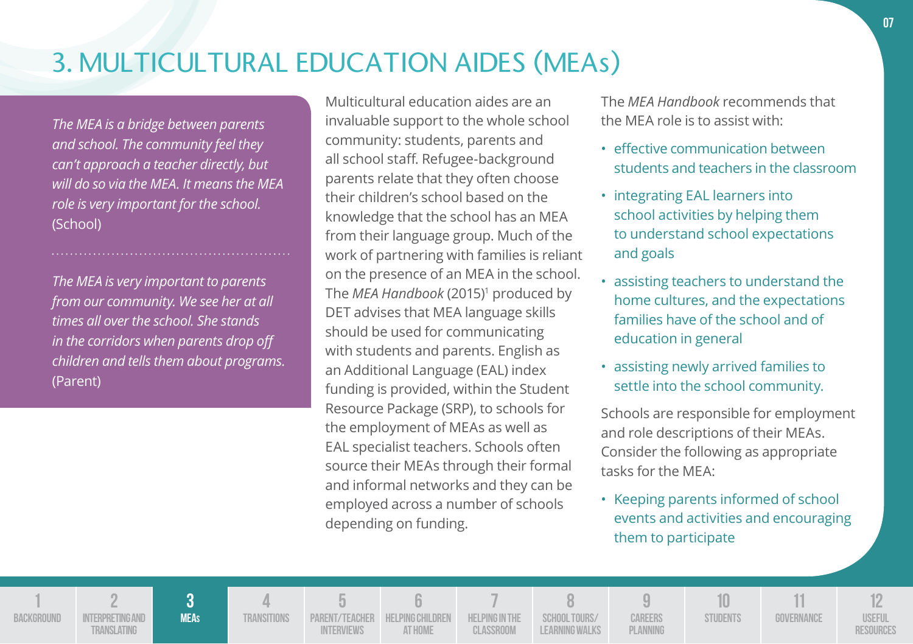## 3. MULTICULTURAL EDUCATION AIDES (MEAs)

*The MEA is a bridge between parents and school. The community feel they can't approach a teacher directly, but will do so via the MEA. It means the MEA role is very important for the school.*  (School)

*The MEA is very important to parents from our community. We see her at all times all over the school. She stands in the corridors when parents drop off children and tells them about programs.*  (Parent)

Multicultural education aides are an invaluable support to the whole school community: students, parents and all school staff. Refugee-background parents relate that they often choose their children's school based on the knowledge that the school has an MEA from their language group. Much of the work of partnering with families is reliant on the presence of an MEA in the school. The *MEA Handbook* (2015)<sup>1</sup> produced by DET advises that MEA language skills should be used for communicating with students and parents. English as an Additional Language (EAL) index funding is provided, within the Student Resource Package (SRP), to schools for the employment of MEAs as well as EAL specialist teachers. Schools often source their MEAs through their formal and informal networks and they can be employed across a number of schools depending on funding.

The *MEA Handbook* recommends that the MEA role is to assist with:

- effective communication between students and teachers in the classroom
- integrating EAL learners into school activities by helping them to understand school expectations and goals
- assisting teachers to understand the home cultures, and the expectations families have of the school and of education in general
- assisting newly arrived families to settle into the school community.

Schools are responsible for employment and role descriptions of their MEAs. Consider the following as appropriate tasks for the MEA:

• Keeping parents informed of school events and activities and encouraging them to participate

**1 BACKGROUND 2 INTERPRETING AND Translating 3 MEAs 4 Transitions 5 Parent/Teacher Interviews 6 Helping Children at Home 7 Helping in the Classroom 8 School Tours/ Learning Walks 9 Careers Planning 10 STUDENTS 11 Governance 12 Useful Resources**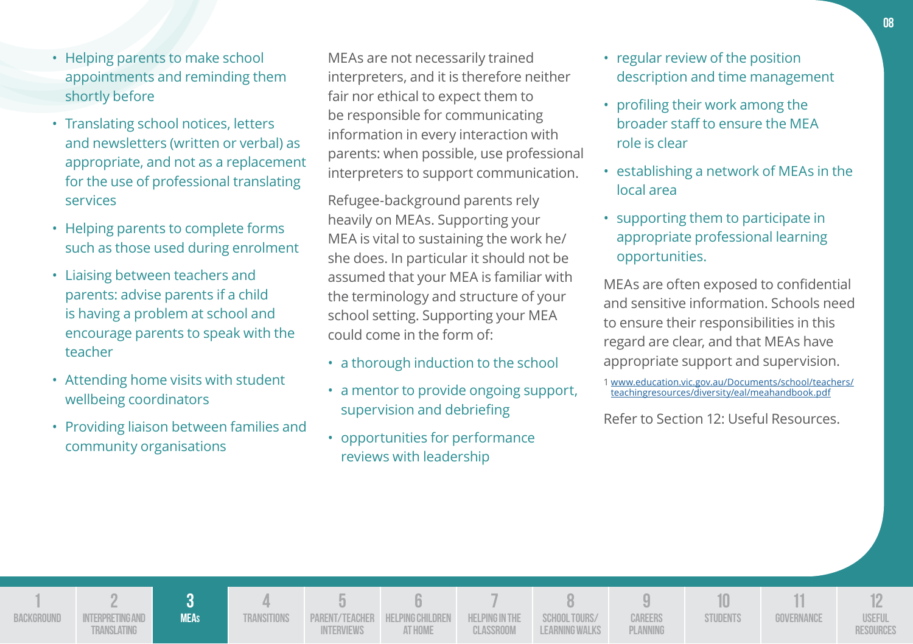- Helping parents to make school appointments and reminding them shortly before
- Translating school notices, letters and newsletters (written or verbal) as appropriate, and not as a replacement for the use of professional translating services
- Helping parents to complete forms such as those used during enrolment
- Liaising between teachers and parents: advise parents if a child is having a problem at school and encourage parents to speak with the teacher
- Attending home visits with student wellbeing coordinators
- Providing liaison between families and community organisations

MEAs are not necessarily trained interpreters, and it is therefore neither fair nor ethical to expect them to be responsible for communicating information in every interaction with parents: when possible, use professional interpreters to support communication.

Refugee-background parents rely heavily on MEAs. Supporting your MEA is vital to sustaining the work he/ she does. In particular it should not be assumed that your MEA is familiar with the terminology and structure of your school setting. Supporting your MEA could come in the form of:

- a thorough induction to the school
- a mentor to provide ongoing support, supervision and debriefing
- opportunities for performance reviews with leadership
- regular review of the position description and time management
- profiling their work among the broader staff to ensure the MEA role is clear
- establishing a network of MEAs in the local area
- supporting them to participate in appropriate professional learning opportunities.

MEAs are often exposed to confidential and sensitive information. Schools need to ensure their responsibilities in this regard are clear, and that MEAs have appropriate support and supervision.



<sup>1</sup>www.education.vic.gov.au/Documents/school/teachers/ teachingresources/diversity/eal/meahandbook.pdf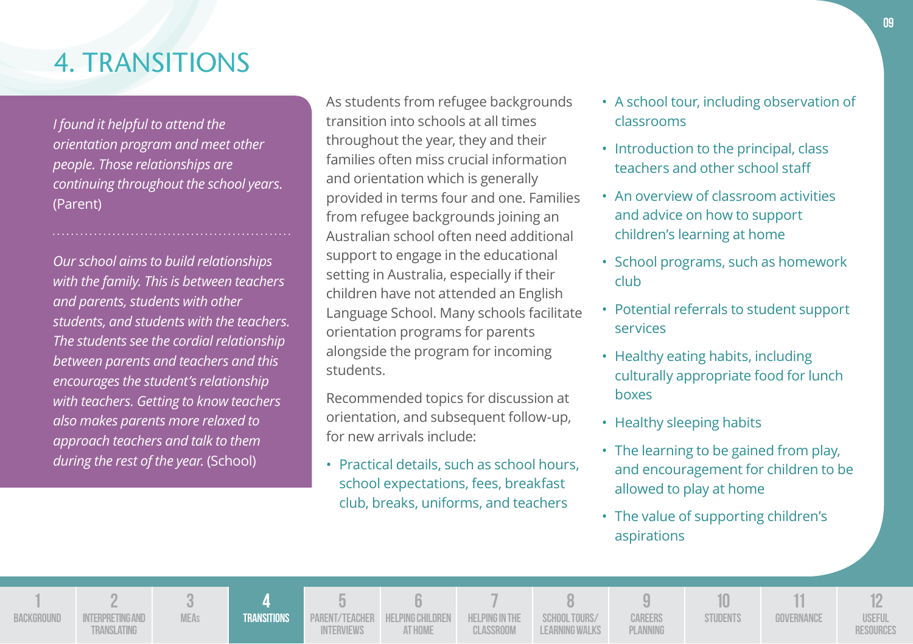## 4. TRANSITIONS

*I found it helpful to attend the orientation program and meet other people. Those relationships are continuing throughout the school years.*  (Parent)

*Our school aims to build relationships with the family. This is between teachers and parents, students with other students, and students with the teachers. The students see the cordial relationship between parents and teachers and this encourages the student's relationship with teachers. Getting to know teachers also makes parents more relaxed to approach teachers and talk to them during the rest of the year.* (School)

As students from refugee backgrounds transition into schools at all times throughout the year, they and their families often miss crucial information and orientation which is generally provided in terms four and one. Families from refugee backgrounds joining an Australian school often need additional support to engage in the educational setting in Australia, especially if their children have not attended an English Language School. Many schools facilitate orientation programs for parents alongside the program for incoming students.

Recommended topics for discussion at orientation, and subsequent follow-up, for new arrivals include:

• Practical details, such as school hours, school expectations, fees, breakfast club, breaks, uniforms, and teachers

- A school tour, including observation of classrooms
- Introduction to the principal, class teachers and other school staff
- An overview of classroom activities and advice on how to support children's learning at home
- School programs, such as homework club
- Potential referrals to student support services
- Healthy eating habits, including culturally appropriate food for lunch boxes
- Healthy sleeping habits
- The learning to be gained from play, and encouragement for children to be allowed to play at home
- The value of supporting children's aspirations

**1 BACKGROUND 2 INTERPRETING AND Translating 3 MEAs 4 Transitions 5 Parent/Teacher Interviews 6 Helping Children at Home 7 Helping in the Classroom 8 School Tours/ Learning Walks 9 Careers Planning 10 STUDENTS 11 Governance 12 Useful Resources**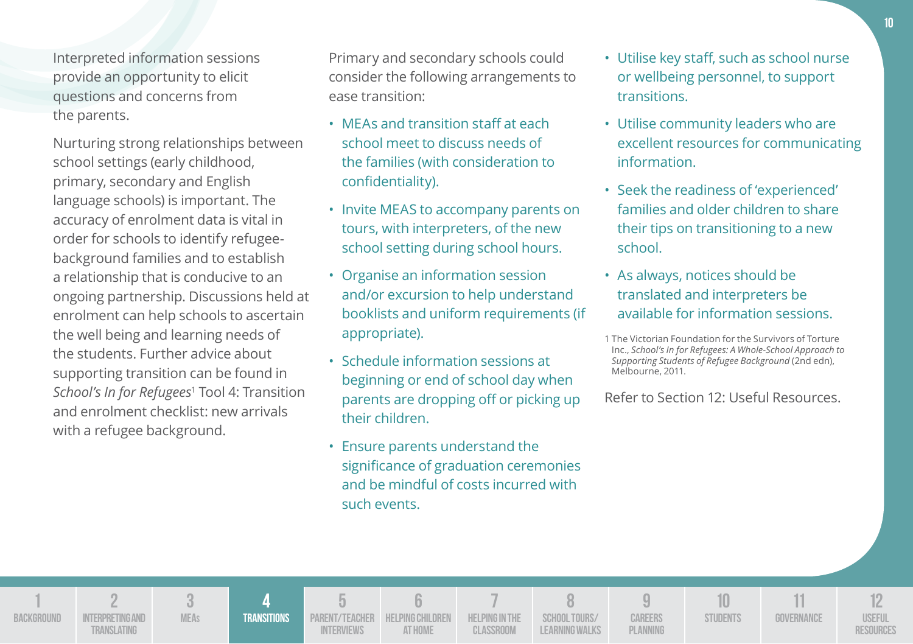Interpreted information sessions provide an opportunity to elicit questions and concerns from the parents.

Nurturing strong relationships between school settings (early childhood, primary, secondary and English language schools) is important. The accuracy of enrolment data is vital in order for schools to identify refugeebackground families and to establish a relationship that is conducive to an ongoing partnership. Discussions held at enrolment can help schools to ascertain the well being and learning needs of the students. Further advice about supporting transition can be found in *School's In for Refugees*<sup>1</sup> Tool 4: Transition and enrolment checklist: new arrivals with a refugee background.

Primary and secondary schools could consider the following arrangements to ease transition:

- MEAs and transition staff at each school meet to discuss needs of the families (with consideration to confidentiality).
- Invite MEAS to accompany parents on tours, with interpreters, of the new school setting during school hours.
- Organise an information session and/or excursion to help understand booklists and uniform requirements (if appropriate).
- Schedule information sessions at beginning or end of school day when parents are dropping off or picking up their children.
- Ensure parents understand the significance of graduation ceremonies and be mindful of costs incurred with such events.
- Utilise key staff, such as school nurse or wellbeing personnel, to support transitions.
- Utilise community leaders who are excellent resources for communicating information.
- Seek the readiness of 'experienced' families and older children to share their tips on transitioning to a new school.
- As always, notices should be translated and interpreters be available for information sessions.

| <b>BACKGROUND</b> | INTERPRETING AND<br><b>TRANSLATING</b> | <b>MEAs</b> | <b>TRANSITIONS</b> | <b>INTERVIEWS</b> | PARENT/TEACHER HELPING CHILDREN HELPING IN THE<br><b>AT HOME</b> | CLASSROOM | SCHOOL TOURS/<br>LEARNING WALKS | CAREERS<br>PLANNING | STUDENTS | GOVERNANCE | <b>USEFUL</b> |
|-------------------|----------------------------------------|-------------|--------------------|-------------------|------------------------------------------------------------------|-----------|---------------------------------|---------------------|----------|------------|---------------|

<sup>1</sup> The Victorian Foundation for the Survivors of Torture Inc., *School's In for Refugees: A Whole-School Approach to Supporting Students of Refugee Background* (2nd edn), Melbourne, 2011.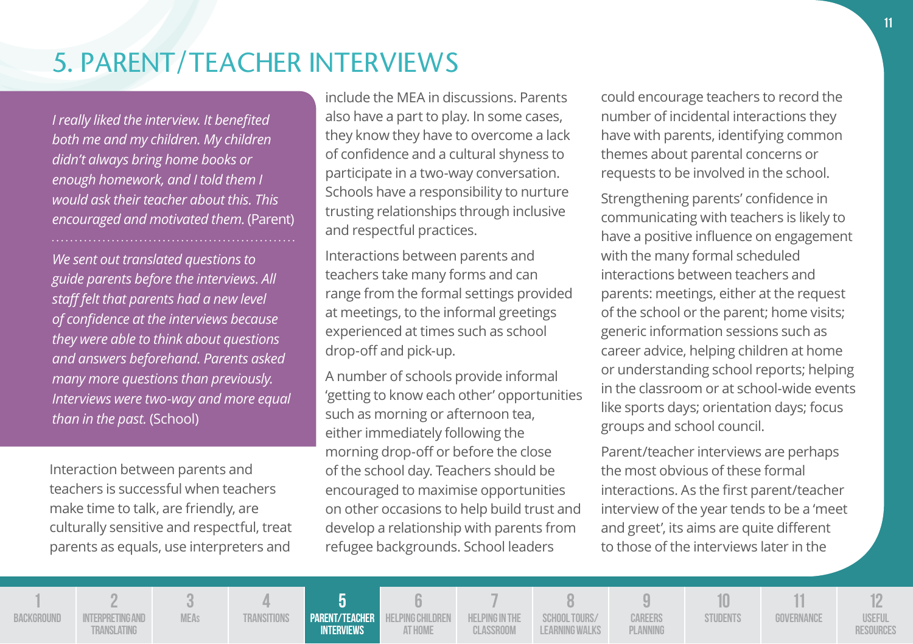## 5. PARENT/TEACHER INTERVIEWS

*I really liked the interview. It benefited both me and my children. My children didn't always bring home books or enough homework, and I told them I would ask their teacher about this. This encouraged and motivated them.* (Parent)

*We sent out translated questions to guide parents before the interviews. All staff felt that parents had a new level of confidence at the interviews because they were able to think about questions and answers beforehand. Parents asked many more questions than previously. Interviews were two-way and more equal than in the past.* (School)

Interaction between parents and teachers is successful when teachers make time to talk, are friendly, are culturally sensitive and respectful, treat parents as equals, use interpreters and

include the MEA in discussions. Parents also have a part to play. In some cases, they know they have to overcome a lack of confidence and a cultural shyness to participate in a two-way conversation. Schools have a responsibility to nurture trusting relationships through inclusive and respectful practices.

Interactions between parents and teachers take many forms and can range from the formal settings provided at meetings, to the informal greetings experienced at times such as school drop-off and pick-up.

A number of schools provide informal 'getting to know each other' opportunities such as morning or afternoon tea, either immediately following the morning drop-off or before the close of the school day. Teachers should be encouraged to maximise opportunities on other occasions to help build trust and develop a relationship with parents from refugee backgrounds. School leaders

could encourage teachers to record the number of incidental interactions they have with parents, identifying common themes about parental concerns or requests to be involved in the school.

Strengthening parents' confidence in communicating with teachers is likely to have a positive influence on engagement with the many formal scheduled interactions between teachers and parents: meetings, either at the request of the school or the parent; home visits; generic information sessions such as career advice, helping children at home or understanding school reports; helping in the classroom or at school-wide events like sports days; orientation days; focus groups and school council.

Parent/teacher interviews are perhaps the most obvious of these formal interactions. As the first parent/teacher interview of the year tends to be a 'meet and greet', its aims are quite different to those of the interviews later in the

**10**

**1 BACKGROUND** 

**INTERPRETING AND MEAs**

**3**

**2**

**Translating**

**4 Transitions**

**Parent/Teacher Interviews**

**5**

**Helping Children 7 Helping in the Classroom**

**6**

**at Home**

**8 School Tours/ Learning Walks**

**9 Careers Planning**

**STUDENTS** 

**Governance**

**11**

**12 Useful Resources**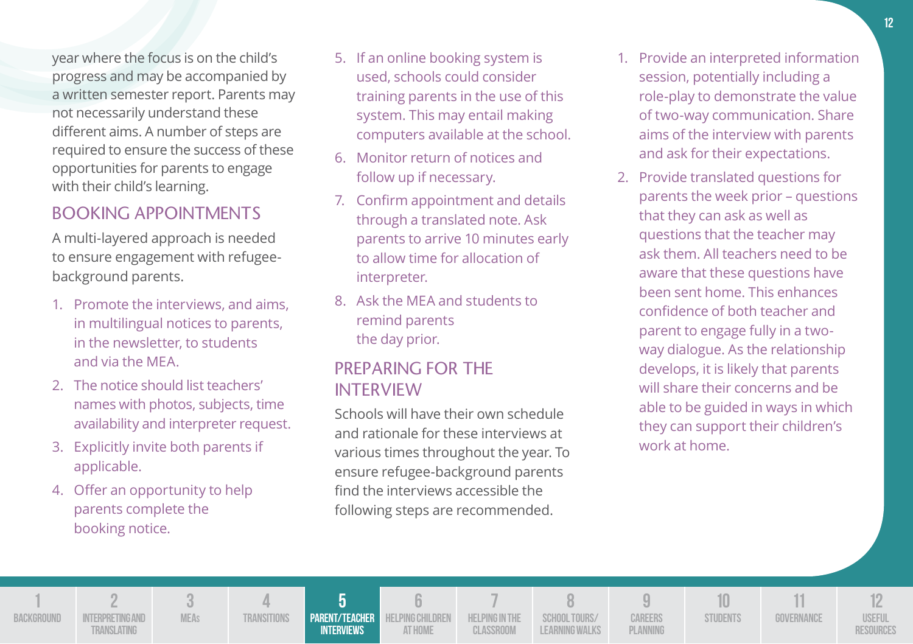year where the focus is on the child's progress and may be accompanied by a written semester report. Parents may not necessarily understand these different aims. A number of steps are required to ensure the success of these opportunities for parents to engage with their child's learning.

### BOOKING APPOINTMENTS

A multi-layered approach is needed to ensure engagement with refugeebackground parents.

- 1. Promote the interviews, and aims, in multilingual notices to parents, in the newsletter, to students and via the MEA.
- 2. The notice should list teachers' names with photos, subjects, time availability and interpreter request.
- 3. Explicitly invite both parents if applicable.
- 4. Offer an opportunity to help parents complete the booking notice.
- 5. If an online booking system is used, schools could consider training parents in the use of this system. This may entail making computers available at the school.
- 6. Monitor return of notices and follow up if necessary.
- 7. Confirm appointment and details through a translated note. Ask parents to arrive 10 minutes early to allow time for allocation of interpreter.
- 8. Ask the MEA and students to remind parents the day prior.

### PREPARING FOR THE INTERVIEW

Schools will have their own schedule and rationale for these interviews at various times throughout the year. To ensure refugee-background parents find the interviews accessible the following steps are recommended.

- 1. Provide an interpreted information session, potentially including a role-play to demonstrate the value of two-way communication. Share aims of the interview with parents and ask for their expectations.
- 2. Provide translated questions for parents the week prior – questions that they can ask as well as questions that the teacher may ask them. All teachers need to be aware that these questions have been sent home. This enhances confidence of both teacher and parent to engage fully in a twoway dialogue. As the relationship develops, it is likely that parents will share their concerns and be able to be guided in ways in which they can support their children's work at home.

**1 BACKGROUND 2 INTERPRETING AND Translating 3 MEAs 4 Transitions 5 Parent/Teacher Interviews 6 HELPING CHILDREN at Home 7 Helping in the Classroom 8 School Tours/ Learning Walks 9 Careers Planning 10 STUDENTS 11 Governance 12 Useful Resources**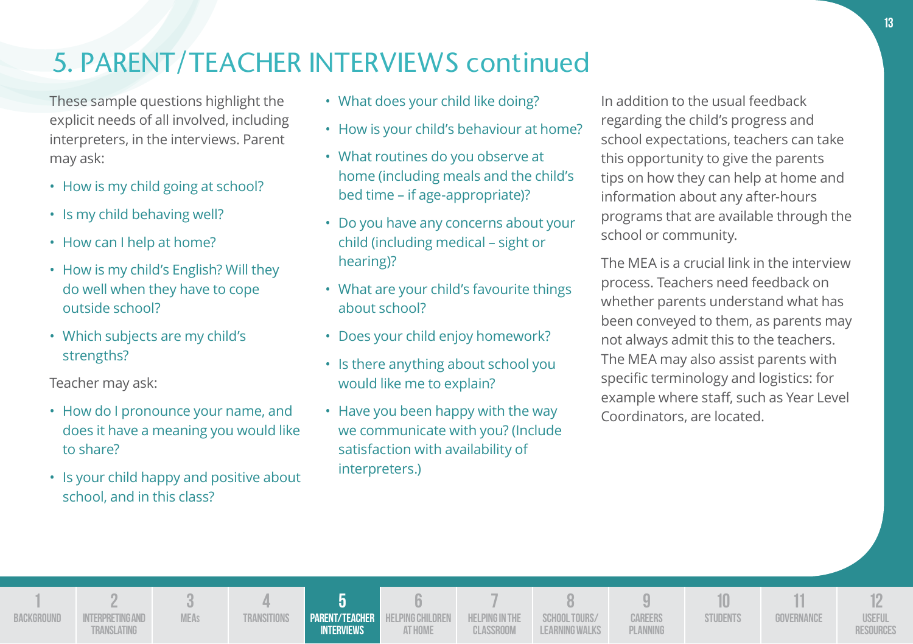## 5. PARENT/TEACHER INTERVIEWS continued

These sample questions highlight the explicit needs of all involved, including interpreters, in the interviews. Parent may ask:

- How is my child going at school?
- Is my child behaving well?
- How can I help at home?
- How is my child's English? Will they do well when they have to cope outside school?
- Which subjects are my child's strengths?

Teacher may ask:

- How do I pronounce your name, and does it have a meaning you would like to share?
- Is your child happy and positive about school, and in this class?
- What does your child like doing?
- How is your child's behaviour at home?
- What routines do you observe at home (including meals and the child's bed time – if age-appropriate)?
- Do you have any concerns about your child (including medical – sight or hearing)?
- What are your child's favourite things about school?
- Does your child enjoy homework?
- Is there anything about school you would like me to explain?
- Have you been happy with the way we communicate with you? (Include satisfaction with availability of interpreters.)

In addition to the usual feedback regarding the child's progress and school expectations, teachers can take this opportunity to give the parents tips on how they can help at home and information about any after-hours programs that are available through the school or community.

The MEA is a crucial link in the interview process. Teachers need feedback on whether parents understand what has been conveyed to them, as parents may not always admit this to the teachers. The MEA may also assist parents with specific terminology and logistics: for example where staff, such as Year Level Coordinators, are located.

**1 BACKGROUND 2 INTERPRETING AND Translating 3 MEAs 4 Transitions 5 Parent/Teacher Interviews 6 HELPING CHILDREN at Home 7 Helping in the Classroom 8 School Tours/ Learning Walks 9 Careers Planning 10 STUDENTS 11 Governance 12 Useful Resources**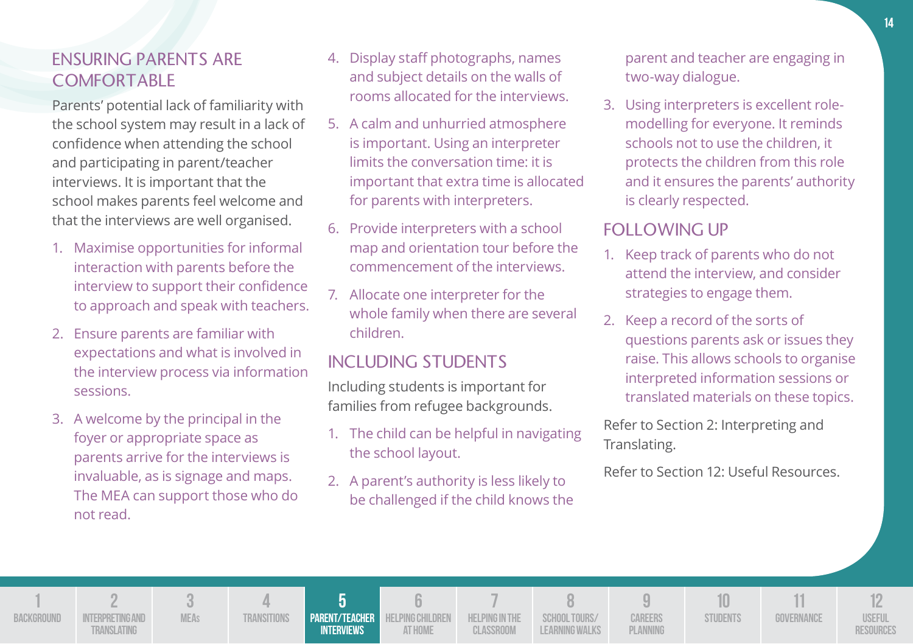### ENSURING PARENTS ARE COMFORTABLE

Parents' potential lack of familiarity with the school system may result in a lack of confidence when attending the school and participating in parent/teacher interviews. It is important that the school makes parents feel welcome and that the interviews are well organised.

- 1. Maximise opportunities for informal interaction with parents before the interview to support their confidence to approach and speak with teachers.
- 2. Ensure parents are familiar with expectations and what is involved in the interview process via information sessions.
- 3. A welcome by the principal in the foyer or appropriate space as parents arrive for the interviews is invaluable, as is signage and maps. The MEA can support those who do not read.
- 4. Display staff photographs, names and subject details on the walls of rooms allocated for the interviews.
- 5. A calm and unhurried atmosphere is important. Using an interpreter limits the conversation time: it is important that extra time is allocated for parents with interpreters.
- 6. Provide interpreters with a school map and orientation tour before the commencement of the interviews.
- 7. Allocate one interpreter for the whole family when there are several children.

### INCLUDING STUDENTS

Including students is important for families from refugee backgrounds.

- 1. The child can be helpful in navigating the school layout.
- 2. A parent's authority is less likely to be challenged if the child knows the

parent and teacher are engaging in two-way dialogue.

3. Using interpreters is excellent rolemodelling for everyone. It reminds schools not to use the children, it protects the children from this role and it ensures the parents' authority is clearly respected.

### FOLLOWING UP

- 1. Keep track of parents who do not attend the interview, and consider strategies to engage them.
- 2. Keep a record of the sorts of questions parents ask or issues they raise. This allows schools to organise interpreted information sessions or translated materials on these topics.

Refer to Section 2: Interpreting and Translating.

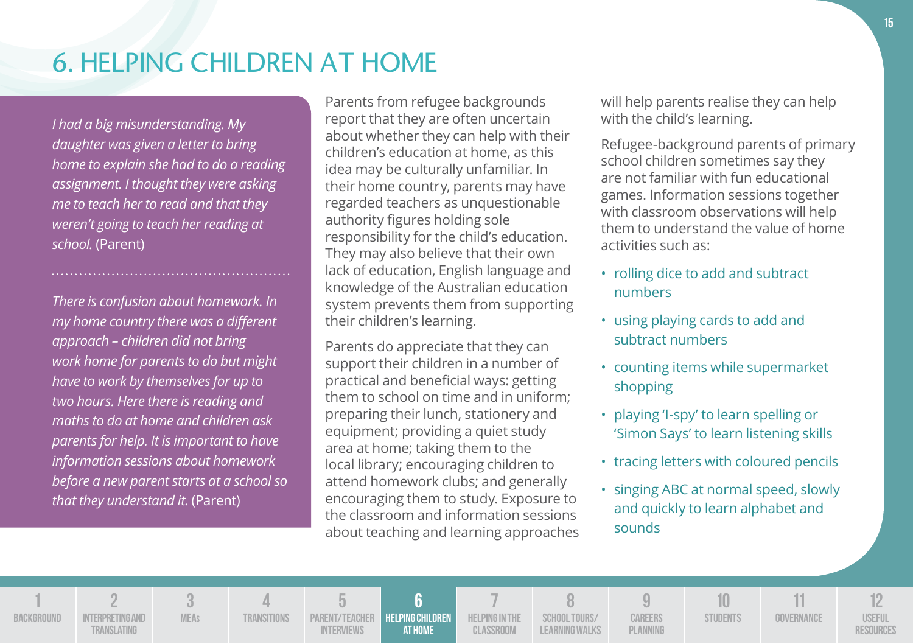## 6. HELPING CHILDREN AT HOME

*I had a big misunderstanding. My daughter was given a letter to bring home to explain she had to do a reading assignment. I thought they were asking me to teach her to read and that they weren't going to teach her reading at school.* (Parent)

*There is confusion about homework. In my home country there was a different approach – children did not bring work home for parents to do but might have to work by themselves for up to two hours. Here there is reading and maths to do at home and children ask parents for help. It is important to have information sessions about homework before a new parent starts at a school so that they understand it.* (Parent)

Parents from refugee backgrounds report that they are often uncertain about whether they can help with their children's education at home, as this idea may be culturally unfamiliar. In their home country, parents may have regarded teachers as unquestionable authority figures holding sole responsibility for the child's education. They may also believe that their own lack of education, English language and knowledge of the Australian education system prevents them from supporting their children's learning.

Parents do appreciate that they can support their children in a number of practical and beneficial ways: getting them to school on time and in uniform; preparing their lunch, stationery and equipment; providing a quiet study area at home; taking them to the local library; encouraging children to attend homework clubs; and generally encouraging them to study. Exposure to the classroom and information sessions about teaching and learning approaches will help parents realise they can help with the child's learning.

Refugee-background parents of primary school children sometimes say they are not familiar with fun educational games. Information sessions together with classroom observations will help them to understand the value of home activities such as:

- rolling dice to add and subtract numbers
- using playing cards to add and subtract numbers
- counting items while supermarket shopping
- playing 'I-spy' to learn spelling or 'Simon Says' to learn listening skills
- tracing letters with coloured pencils
- singing ABC at normal speed, slowly and quickly to learn alphabet and sounds

**1 BACKGROUND 2 INTERPRETING AND Translating 3 MEAs 4 Transitions 5 Parent/Teacher Interviews 6 Helping Children at Home 7 HELPING IN THE Classroom 8 School Tours/ Learning Walks 9 Careers Planning 10 STUDENTS 11 Governance 12 Useful Resources**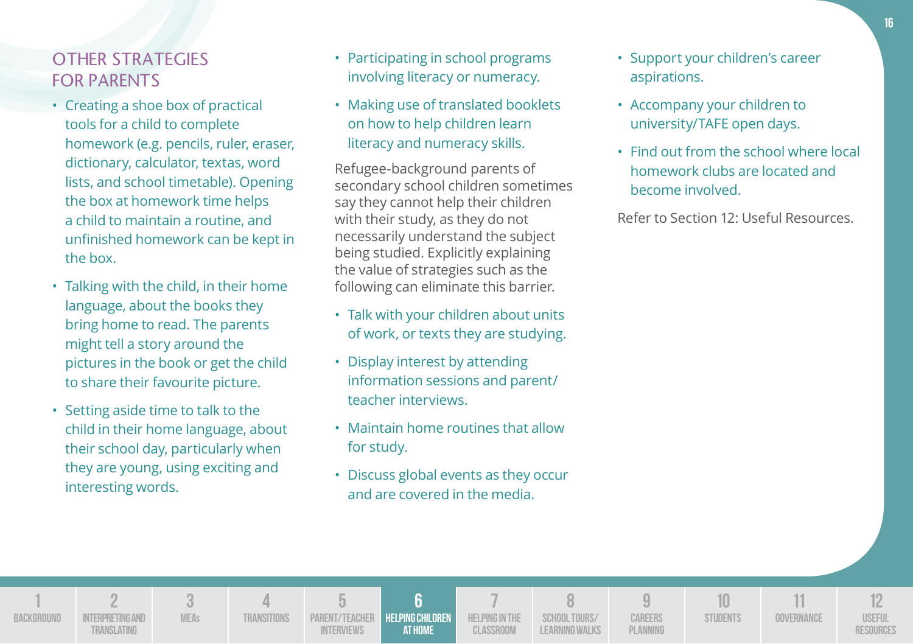### OTHER STRATEGIES FOR PARENTS

- Creating a shoe box of practical tools for a child to complete homework (e.g. pencils, ruler, eraser, dictionary, calculator, textas, word lists, and school timetable). Opening the box at homework time helps a child to maintain a routine, and unfinished homework can be kept in the box.
- Talking with the child, in their home language, about the books they bring home to read. The parents might tell a story around the pictures in the book or get the child to share their favourite picture.
- Setting aside time to talk to the child in their home language, about their school day, particularly when they are young, using exciting and interesting words.

**BACKG** 

- Participating in school programs involving literacy or numeracy.
- Making use of translated booklets on how to help children learn literacy and numeracy skills.

Refugee-background parents of secondary school children sometimes say they cannot help their children with their study, as they do not necessarily understand the subject being studied. Explicitly explaining the value of strategies such as the following can eliminate this barrier.

- Talk with your children about units of work, or texts they are studying.
- Display interest by attending information sessions and parent/ teacher interviews.
- Maintain home routines that allow for study.
- Discuss global events as they occur and are covered in the media.
- Support your children's career aspirations.
- Accompany your children to university/TAFE open days.
- Find out from the school where local homework clubs are located and become involved.

|          |                                       |                    |                                     |                                           | $\overline{\phantom{a}}$    |                                        |                            |          |            |                                   |
|----------|---------------------------------------|--------------------|-------------------------------------|-------------------------------------------|-----------------------------|----------------------------------------|----------------------------|----------|------------|-----------------------------------|
| שויוטטחע | INTERPRETINGAND<br><b>TRANSLATING</b> | <b>TRANSITIONS</b> | PARENT/TEACHER<br><b>INTERVIEWS</b> | <b>HELPING CHILDREN</b><br><b>AT HOME</b> | HELPING IN THE<br>CLASSROOM | SCHOOL TOURS/<br><b>LEARNING WALKS</b> | <b>CAREERS</b><br>PLANNING | STUDENTS | GOVERNANCE | <b>USEFUL</b><br><b>RESOURCES</b> |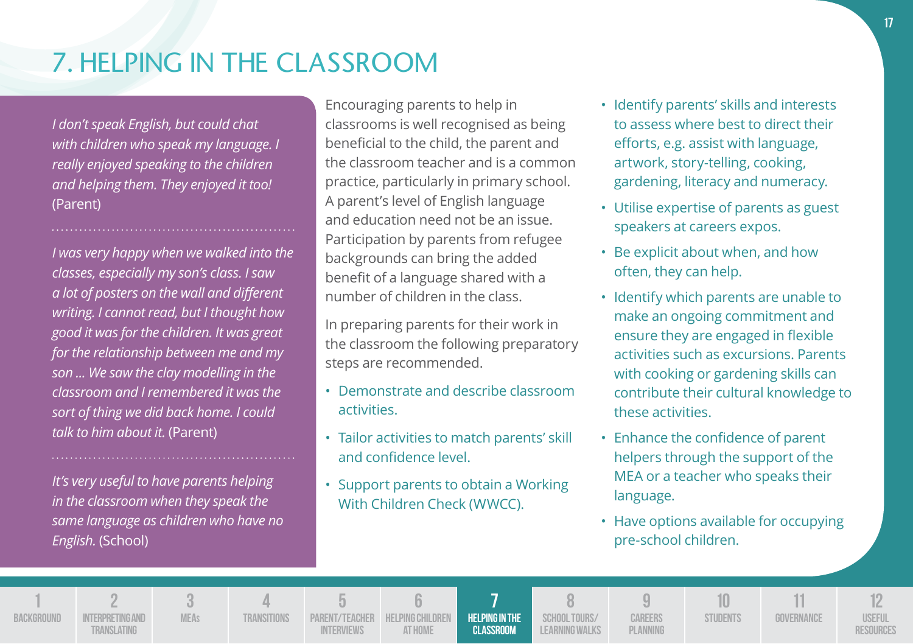## 7. HELPING IN THE CLASSROOM

*I don't speak English, but could chat with children who speak my language. I really enjoyed speaking to the children and helping them. They enjoyed it too!*  (Parent)

*I was very happy when we walked into the classes, especially my son's class. I saw a lot of posters on the wall and different writing. I cannot read, but I thought how good it was for the children. It was great for the relationship between me and my son ... We saw the clay modelling in the classroom and I remembered it was the sort of thing we did back home. I could talk to him about it.* (Parent)

*It's very useful to have parents helping in the classroom when they speak the same language as children who have no English.* (School)

Encouraging parents to help in classrooms is well recognised as being beneficial to the child, the parent and the classroom teacher and is a common practice, particularly in primary school. A parent's level of English language and education need not be an issue. Participation by parents from refugee backgrounds can bring the added benefit of a language shared with a number of children in the class.

In preparing parents for their work in the classroom the following preparatory steps are recommended.

- Demonstrate and describe classroom activities.
- Tailor activities to match parents' skill and confidence level.
- Support parents to obtain a Working With Children Check (WWCC).
- Identify parents' skills and interests to assess where best to direct their efforts, e.g. assist with language, artwork, story-telling, cooking, gardening, literacy and numeracy.
- Utilise expertise of parents as guest speakers at careers expos.
- Be explicit about when, and how often, they can help.
- Identify which parents are unable to make an ongoing commitment and ensure they are engaged in flexible activities such as excursions. Parents with cooking or gardening skills can contribute their cultural knowledge to these activities.
- Enhance the confidence of parent helpers through the support of the MEA or a teacher who speaks their language.
- Have options available for occupying pre-school children.

**1 BACKGROUND 2 INTERPRETING AND Translating 3 MEAs 4 Transitions 5 Parent/Teacher Interviews 6 Helping Children at Home 7 Helping in the Classroom 8 School Tours/ Learning Walks 9 Careers Planning 10 STUDENTS 11 Governance 12 Useful Resources**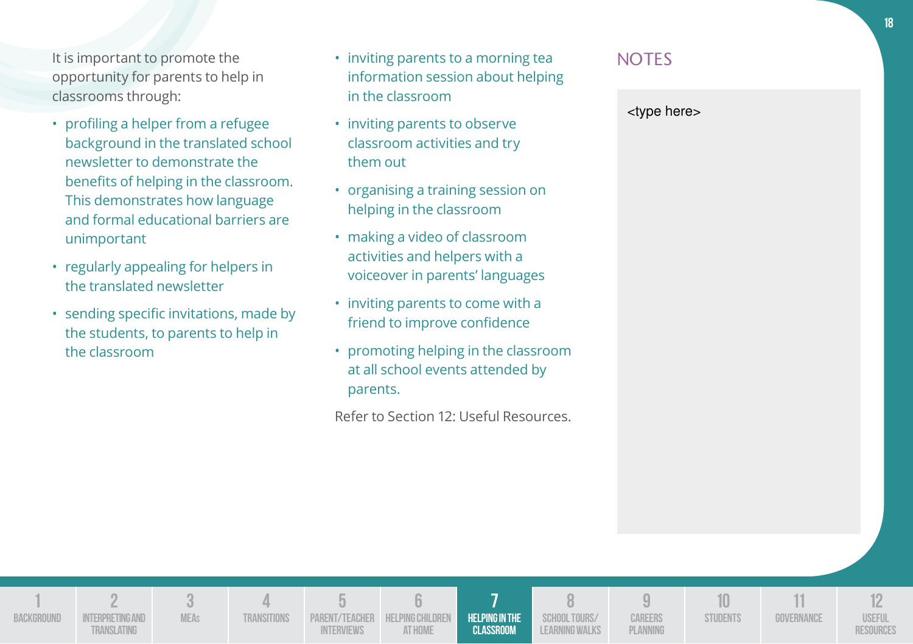It is important to promote the opportunity for parents to help in classrooms through:

- profiling a helper from a refugee background in the translated school newsletter to demonstrate the benefits of helping in the classroom. This demonstrates how language and formal educational barriers are unimportant
- regularly appealing for helpers in the translated newsletter
- sending specific invitations, made by the students, to parents to help in the classroom

**3 MEAs**

**4 Transitions**

**5 Parent/Teacher Interviews**

**1 BACKGROUND** 

**2 INTERPRETING AND Translating**

- inviting parents to a morning tea information session about helping in the classroom
- inviting parents to observe classroom activities and try them out
- organising a training session on helping in the classroom
- making a video of classroom activities and helpers with a voiceover in parents' languages
- inviting parents to come with a friend to improve confidence
- promoting helping in the classroom at all school events attended by parents.

Refer to Section 12: Useful Resources.

**6 Helping Children at Home**

**7 Helping in the Classroom**

**8 School Tours/ Learning Walks**

**9 Careers Planning**

**10 STUDENTS** 

**11 Governance**

**12 Useful Resources**

### **NOTES**

<type here>

**18**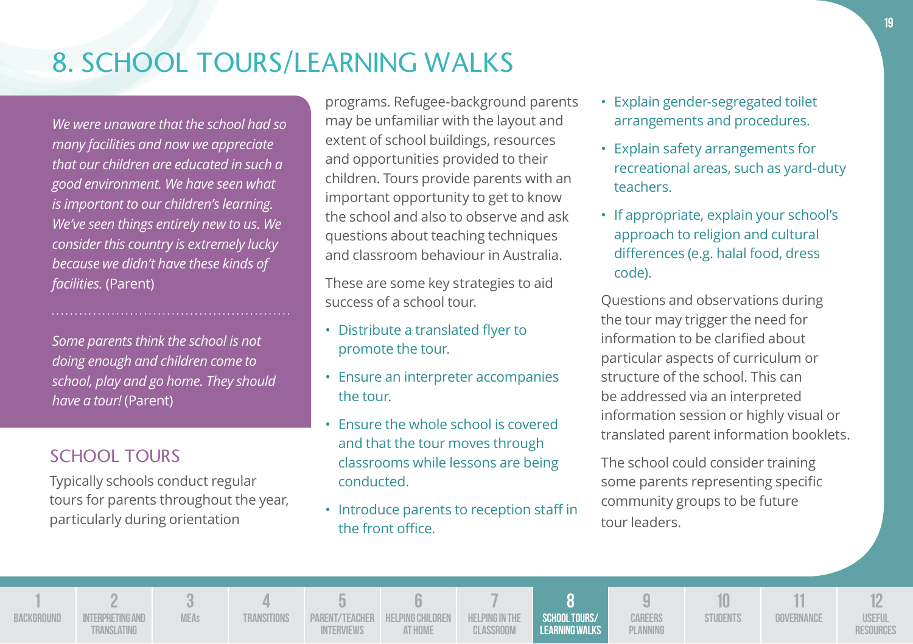## 8. SCHOOL TOURS/LEARNING WALKS

*We were unaware that the school had so many facilities and now we appreciate that our children are educated in such a good environment. We have seen what is important to our children's learning. We've seen things entirely new to us. We consider this country is extremely lucky because we didn't have these kinds of facilities.* (Parent)

*Some parents think the school is not doing enough and children come to school, play and go home. They should have a tour!* (Parent)

### SCHOOL TOURS

**1 BACKGROUND** 

Typically schools conduct regular tours for parents throughout the year, particularly during orientation

programs. Refugee-background parents may be unfamiliar with the layout and extent of school buildings, resources and opportunities provided to their children. Tours provide parents with an important opportunity to get to know the school and also to observe and ask questions about teaching techniques and classroom behaviour in Australia.

These are some key strategies to aid success of a school tour.

- Distribute a translated flyer to promote the tour.
- Ensure an interpreter accompanies the tour.
- Ensure the whole school is covered and that the tour moves through classrooms while lessons are being conducted.
- Introduce parents to reception staff in the front office.
- Explain gender-segregated toilet arrangements and procedures.
- Explain safety arrangements for recreational areas, such as yard-duty teachers.
- If appropriate, explain your school's approach to religion and cultural differences (e.g. halal food, dress code).

Questions and observations during the tour may trigger the need for information to be clarified about particular aspects of curriculum or structure of the school. This can be addressed via an interpreted information session or highly visual or translated parent information booklets.

The school could consider training some parents representing specific community groups to be future tour leaders.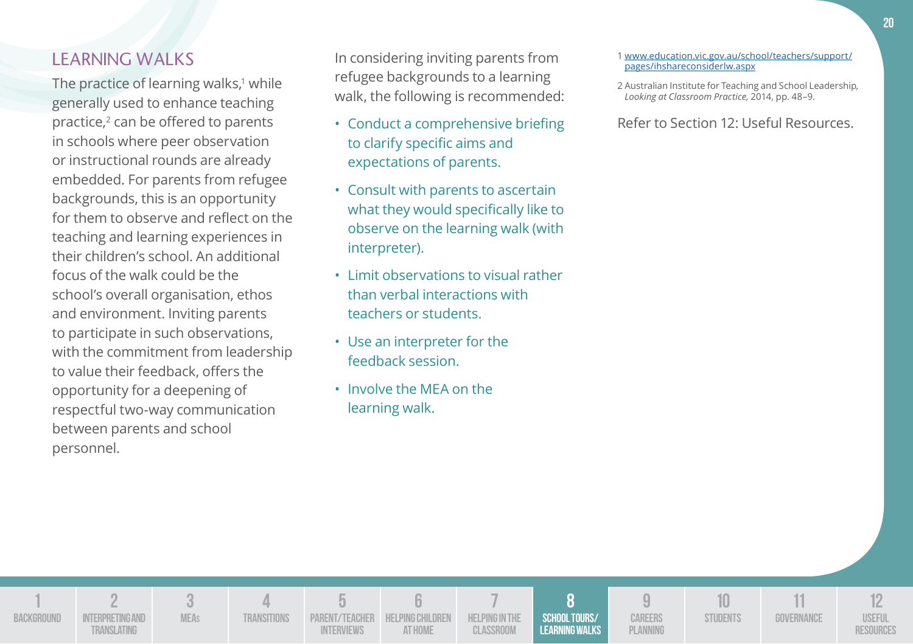### LEARNING WALKS

The practice of learning walks,' while generally used to enhance teaching practice,<sup>2</sup> can be offered to parents in schools where peer observation or instructional rounds are already embedded. For parents from refugee backgrounds, this is an opportunity for them to observe and reflect on the teaching and learning experiences in their children's school. An additional focus of the walk could be the school's overall organisation, ethos and environment. Inviting parents to participate in such observations, with the commitment from leadership to value their feedback, offers the opportunity for a deepening of respectful two-way communication between parents and school personnel.

In considering inviting parents from refugee backgrounds to a learning walk, the following is recommended:

- Conduct a comprehensive briefing to clarify specific aims and expectations of parents.
- Consult with parents to ascertain what they would specifically like to observe on the learning walk (with interpreter).
- Limit observations to visual rather than verbal interactions with teachers or students.
- Use an interpreter for the feedback session.
- Involve the MEA on the learning walk.
- 1www.education.vic.gov.au/school/teachers/support/ pages/ihshareconsiderlw.aspx
- 2 Australian Institute for Teaching and School Leadership*, Looking at Classroom Practice,* 2014, pp. 48–9.

| BACKGROUND | INTERPRETING AND<br><b>TRANSLATING</b> | <b>MEAs</b> | <b><i>RANSITIONS</i></b> | <b>INTERVIEWS</b> | PARENT/TEACHER HELPING CHILDREN HELPING IN THE<br>AT HOME | CLASSROOM | SCHOOL TOURS/<br><b>LEARNING WALKS</b> | <b>CAREERS</b><br>PLANNING | STUDENTS | GOVERNANCE | USEFUL<br><b>ESOURCES</b> |
|------------|----------------------------------------|-------------|--------------------------|-------------------|-----------------------------------------------------------|-----------|----------------------------------------|----------------------------|----------|------------|---------------------------|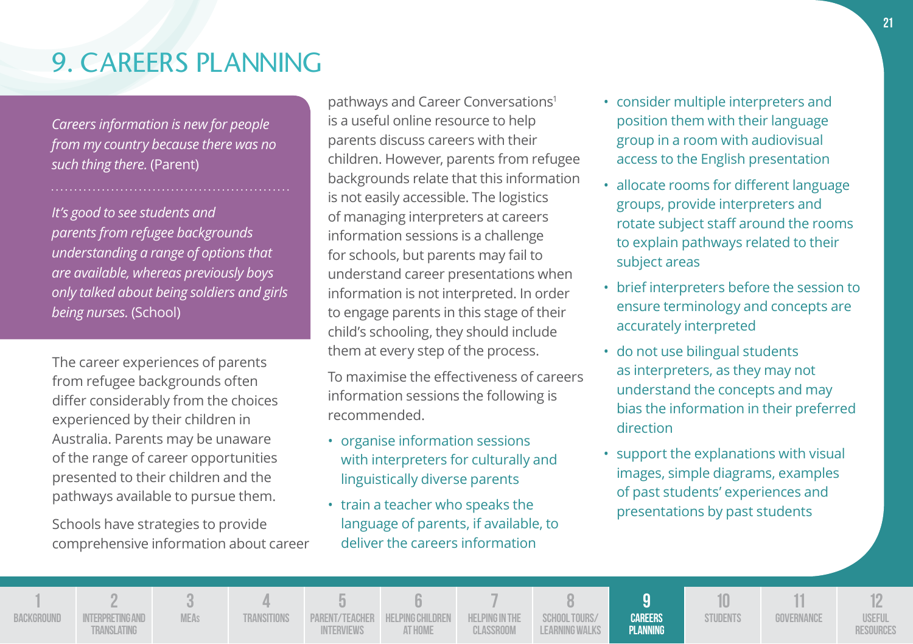#### **21**

## 9. CAREERS PLANNING

*Careers information is new for people from my country because there was no such thing there.* (Parent)

*It's good to see students and parents from refugee backgrounds understanding a range of options that are available, whereas previously boys only talked about being soldiers and girls being nurses.* (School)

The career experiences of parents from refugee backgrounds often differ considerably from the choices experienced by their children in Australia. Parents may be unaware of the range of career opportunities presented to their children and the pathways available to pursue them.

Schools have strategies to provide comprehensive information about career

> **3 MEAs**

**4 Transitions**

**5 PARENT/TEACHER Interviews**

**1 BACKGROUND**  **2**

**Translating**

pathways and Career Conversations<sup>1</sup> is a useful online resource to help parents discuss careers with their children. However, parents from refugee backgrounds relate that this information is not easily accessible. The logistics of managing interpreters at careers information sessions is a challenge for schools, but parents may fail to understand career presentations when information is not interpreted. In order to engage parents in this stage of their child's schooling, they should include them at every step of the process.

To maximise the effectiveness of careers information sessions the following is recommended.

- organise information sessions with interpreters for culturally and linguistically diverse parents
- train a teacher who speaks the language of parents, if available, to deliver the careers information

**7 Helping in the Classroom**

**8 School Tours/ Learning Walks**

**9 Careers Planning**

**6 Helping Children at Home**

- consider multiple interpreters and position them with their language group in a room with audiovisual access to the English presentation
- allocate rooms for different language groups, provide interpreters and rotate subject staff around the rooms to explain pathways related to their subject areas
- brief interpreters before the session to ensure terminology and concepts are accurately interpreted
- do not use bilingual students as interpreters, as they may not understand the concepts and may bias the information in their preferred direction
- support the explanations with visual images, simple diagrams, examples of past students' experiences and presentations by past students

**10 STUDENTS** 

**11 Governance**

**12 Useful Resources**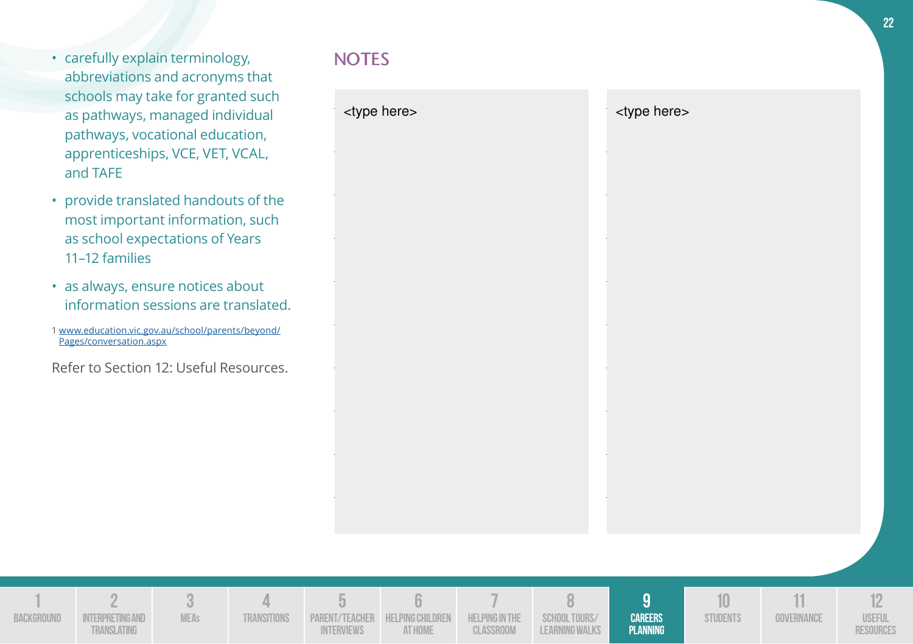- carefully explain terminology, abbreviations and acronyms that schools may take for granted such as pathways, managed individual pathways, vocational education, apprenticeships, VCE, VET, VCAL, and TAFE
- provide translated handouts of the most important information, such as school expectations of Years 11–12 families
- as always, ensure notices about information sessions are translated.
- 1 www.education.vic.gov.au/school/parents/beyond/ Pages/conversation.aspx
- Refer to Section 12: Useful Resources.

## **NOTES**

| <type here=""></type> | <type here=""></type> |
|-----------------------|-----------------------|
|                       |                       |
|                       |                       |
|                       |                       |
|                       |                       |
|                       |                       |
|                       |                       |
|                       |                       |

| BACKGROUND | INTERPRETING AND<br>RANSLATING | <b>MEAs</b> | TRANSITIONS | INTERVIEWS | PARENT/TEACHER HELPING CHILDREN HELPING IN THE SCHOOL TOURS/<br>AT HOME | CLASSROOM | LEARNING WALKS | <b>CAREERS</b><br>PLANNING | <b>STUDENTS</b> | GOVERNANCE | <b>USEFUL</b><br><b>RESOURCE\</b> |
|------------|--------------------------------|-------------|-------------|------------|-------------------------------------------------------------------------|-----------|----------------|----------------------------|-----------------|------------|-----------------------------------|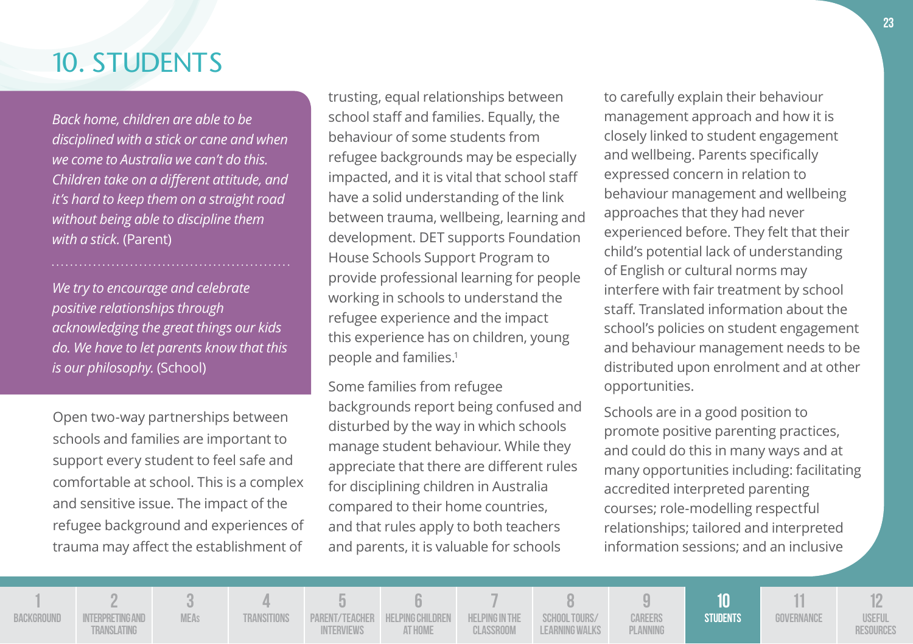## 10. STUDENTS

*Back home, children are able to be disciplined with a stick or cane and when we come to Australia we can't do this. Children take on a different attitude, and it's hard to keep them on a straight road without being able to discipline them with a stick.* (Parent)

*We try to encourage and celebrate positive relationships through acknowledging the great things our kids do. We have to let parents know that this is our philosophy.* (School)

Open two-way partnerships between schools and families are important to support every student to feel safe and comfortable at school. This is a complex and sensitive issue. The impact of the refugee background and experiences of trauma may affect the establishment of

> **3 MEAs**

**4 Transitions**

**5 Parent/Teacher Interviews**

**1 BACKGROUND** 

**2 INTERPRETING AND Translating**

trusting, equal relationships between school staff and families. Equally, the behaviour of some students from refugee backgrounds may be especially impacted, and it is vital that school staff have a solid understanding of the link between trauma, wellbeing, learning and development. DET supports Foundation House Schools Support Program to provide professional learning for people working in schools to understand the refugee experience and the impact this experience has on children, young people and families.<sup>1</sup>

Some families from refugee backgrounds report being confused and disturbed by the way in which schools manage student behaviour. While they appreciate that there are different rules for disciplining children in Australia compared to their home countries, and that rules apply to both teachers and parents, it is valuable for schools

> **6 Helping Children at Home**

to carefully explain their behaviour management approach and how it is closely linked to student engagement and wellbeing. Parents specifically expressed concern in relation to behaviour management and wellbeing approaches that they had never experienced before. They felt that their child's potential lack of understanding of English or cultural norms may interfere with fair treatment by school staff. Translated information about the school's policies on student engagement and behaviour management needs to be distributed upon enrolment and at other opportunities.

Schools are in a good position to promote positive parenting practices, and could do this in many ways and at many opportunities including: facilitating accredited interpreted parenting courses; role-modelling respectful relationships; tailored and interpreted information sessions; and an inclusive

> **10 Students**

**11 Governance**

**12 Useful Resources**

**7 Helping in the Classroom 8 School Tours/ Learning Walks 9 Careers Planning** **23**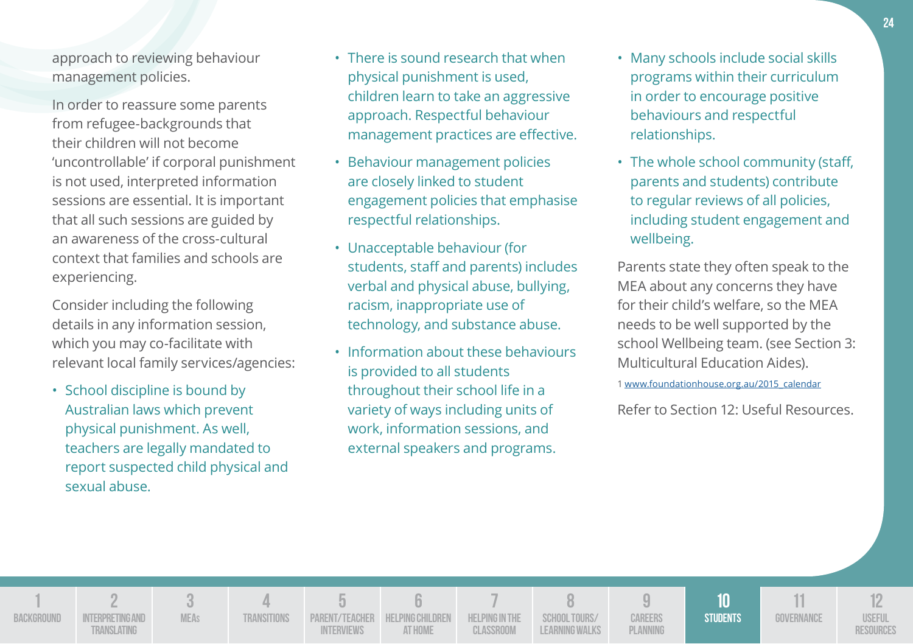approach to reviewing behaviour management policies.

In order to reassure some parents from refugee-backgrounds that their children will not become 'uncontrollable' if corporal punishment is not used, interpreted information sessions are essential. It is important that all such sessions are guided by an awareness of the cross-cultural context that families and schools are experiencing.

Consider including the following details in any information session, which you may co-facilitate with relevant local family services/agencies:

• School discipline is bound by Australian laws which prevent physical punishment. As well, teachers are legally mandated to report suspected child physical and sexual abuse.

> **3 MEAs**

**4 Transitions**

**5 Parent/Teacher Interviews**

**6 HELPING CHILDREN at Home**

**7 Helping in the Classroom**

**8 School Tours/ Learning Walks**

**9 Careers Planning**

**1 BACKGROUND** 

**2 INTERPRETING AND Translating**

- There is sound research that when physical punishment is used, children learn to take an aggressive approach. Respectful behaviour management practices are effective.
- Behaviour management policies are closely linked to student engagement policies that emphasise respectful relationships.
- Unacceptable behaviour (for students, staff and parents) includes verbal and physical abuse, bullying, racism, inappropriate use of technology, and substance abuse.
- Information about these behaviours is provided to all students throughout their school life in a variety of ways including units of work, information sessions, and external speakers and programs.
- Many schools include social skills programs within their curriculum in order to encourage positive behaviours and respectful relationships.
- The whole school community (staff, parents and students) contribute to regular reviews of all policies, including student engagement and wellbeing.

Parents state they often speak to the MEA about any concerns they have for their child's welfare, so the MEA needs to be well supported by the school Wellbeing team. (see Section 3: Multicultural Education Aides).

1 www.foundationhouse.org.au/2015\_calendar

**10 Students**

**11 Governance**

**12 Useful Resources**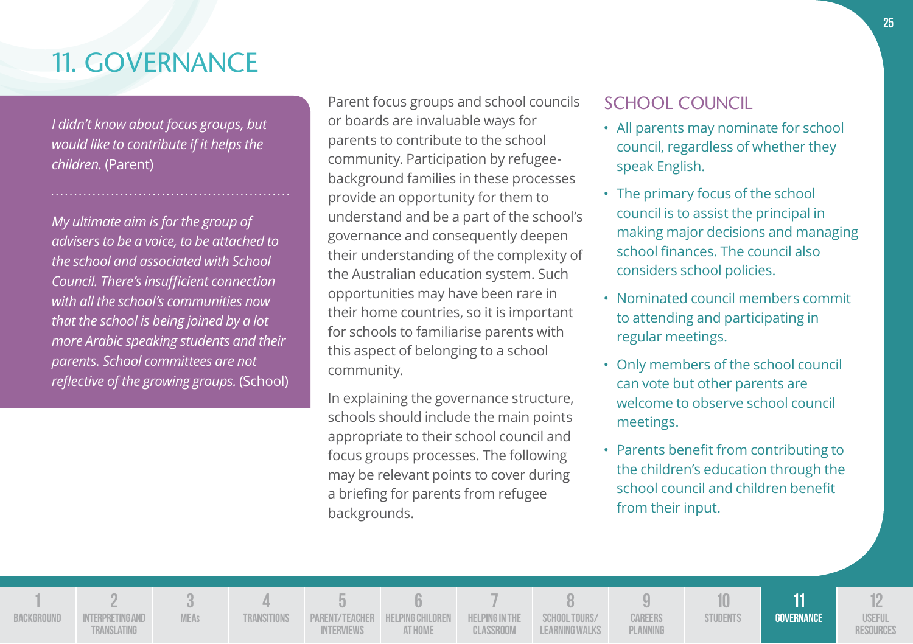## 11. GOVERNANCE

*I didn't know about focus groups, but would like to contribute if it helps the children.* (Parent)

*My ultimate aim is for the group of advisers to be a voice, to be attached to the school and associated with School Council. There's insufficient connection with all the school's communities now that the school is being joined by a lot more Arabic speaking students and their parents. School committees are not reflective of the growing groups.* (School)

Parent focus groups and school councils or boards are invaluable ways for parents to contribute to the school community. Participation by refugeebackground families in these processes provide an opportunity for them to understand and be a part of the school's governance and consequently deepen their understanding of the complexity of the Australian education system. Such opportunities may have been rare in their home countries, so it is important for schools to familiarise parents with this aspect of belonging to a school community.

In explaining the governance structure, schools should include the main points appropriate to their school council and focus groups processes. The following may be relevant points to cover during a briefing for parents from refugee backgrounds.

### SCHOOL COUNCIL

- All parents may nominate for school council, regardless of whether they speak English.
- The primary focus of the school council is to assist the principal in making major decisions and managing school finances. The council also considers school policies.
- Nominated council members commit to attending and participating in regular meetings.
- Only members of the school council can vote but other parents are welcome to observe school council meetings.
- Parents benefit from contributing to the children's education through the school council and children benefit from their input.

**1 BACKGROUND 2 INTERPRETING AND Translating 3 MEAs 4 Transitions 5 Parent/Teacher Interviews 6 Helping Children at Home 7 Helping in the Classroom 8 School Tours/ Learning Walks 9 Careers Planning 10 STUDENTS 11 Governance 12 Useful Resources**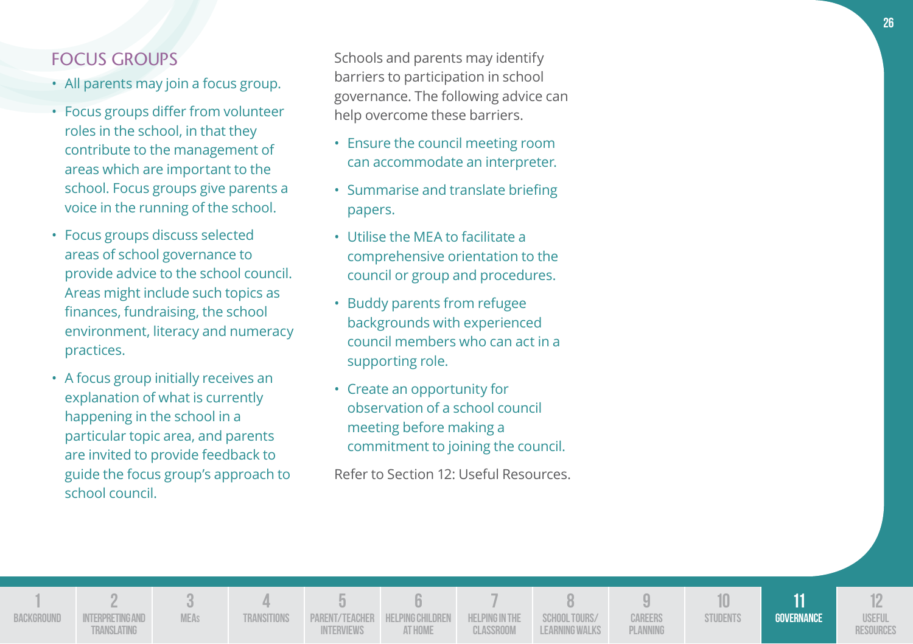### FOCUS GROUPS

- All parents may join a focus group.
- Focus groups differ from volunteer roles in the school, in that they contribute to the management of areas which are important to the school. Focus groups give parents a voice in the running of the school.
- Focus groups discuss selected areas of school governance to provide advice to the school council. Areas might include such topics as finances, fundraising, the school environment, literacy and numeracy practices.
- A focus group initially receives an explanation of what is currently happening in the school in a particular topic area, and parents are invited to provide feedback to guide the focus group's approach to school council.

Schools and parents may identify barriers to participation in school governance. The following advice can help overcome these barriers.

- Ensure the council meeting room can accommodate an interpreter.
- Summarise and translate briefing papers.
- Utilise the MEA to facilitate a comprehensive orientation to the council or group and procedures.
- Buddy parents from refugee backgrounds with experienced council members who can act in a supporting role.
- Create an opportunity for observation of a school council meeting before making a commitment to joining the council.

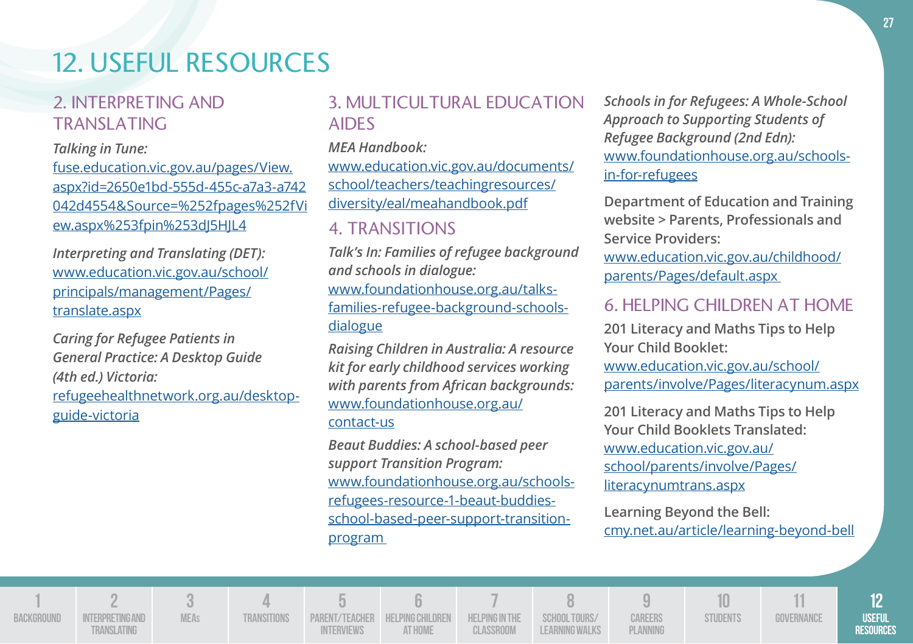## 12. USEFUL RESOURCES

### 2. INTERPRETING AND TRANSLATING

### *Talking in Tune:*

fuse.education.vic.gov.au/pages/View. aspx?id=2650e1bd-555d-455c-a7a3-a742 042d4554&Source=%252fpages%252fVi ew.aspx%253fpin%253dJ5HJL4

*Interpreting and Translating (DET):*  www.education.vic.gov.au/school/ principals/management/Pages/ translate.aspx

*Caring for Refugee Patients in General Practice: A Desktop Guide (4th ed.) Victoria:* refugeehealthnetwork.org.au/desktopguide-victoria

### 3. MULTICULTURAL EDUCATION AIDES

*MEA Handbook:* 

www.education.vic.gov.au/documents/ school/teachers/teachingresources/ diversity/eal/meahandbook.pdf

### 4. TRANSITIONS

*Talk's In: Families of refugee background and schools in dialogue:* www.foundationhouse.org.au/talksfamilies-refugee-background-schoolsdialogue

*Raising Children in Australia: A resource kit for early childhood services working with parents from African backgrounds:* www.foundationhouse.org.au/ contact-us

*Beaut Buddies: A school-based peer support Transition Program:* www.foundationhouse.org.au/schoolsrefugees-resource-1-beaut-buddiesschool-based-peer-support-transitionprogram

*Schools in for Refugees: A Whole-School Approach to Supporting Students of Refugee Background (2nd Edn):* www.foundationhouse.org.au/schoolsin-for-refugees

**Department of Education and Training website > Parents, Professionals and Service Providers:**

www.education.vic.gov.au/childhood/ parents/Pages/default.aspx

### 6. HELPING CHILDREN AT HOME

**201 Literacy and Maths Tips to Help Your Child Booklet:** 

www.education.vic.gov.au/school/ parents/involve/Pages/literacynum.aspx

**201 Literacy and Maths Tips to Help Your Child Booklets Translated:**  www.education.vic.gov.au/ school/parents/involve/Pages/ literacynumtrans.aspx

**Learning Beyond the Bell:**  cmy.net.au/article/learning-beyond-bell

**1 BACKGROUND 2 Interpreting and Translating 3 MEAs 4 Transitions 5 Parent/Teacher Interviews 6 Helping Children at Home 7 Helping in the Classroom 8 School Tours/ Learning Walks 9 Careers Planning 10 STUDENTS 11 Governance 12 Useful Resources**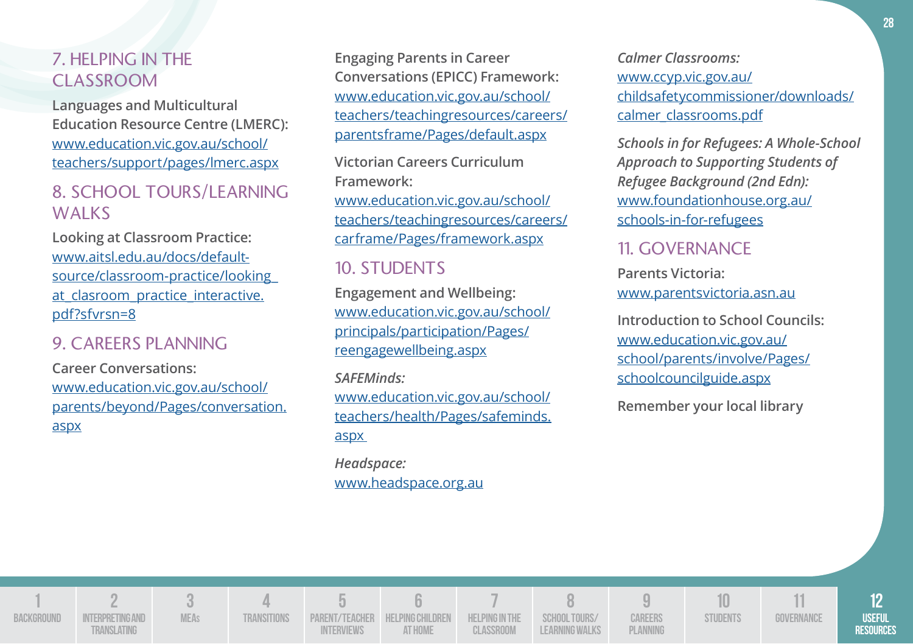### 7. HELPING IN THE CLASSROOM

**Languages and Multicultural Education Resource Centre (LMERC):** www.education.vic.gov.au/school/ teachers/support/pages/lmerc.aspx

### 8. SCHOOL TOURS/LEARNING **WALKS**

**Looking at Classroom Practice:**  www.aitsl.edu.au/docs/defaultsource/classroom-practice/looking\_ at clasroom practice interactive. pdf?sfvrsn=8

### 9. CAREERS PLANNING

**Career Conversations:** www.education.vic.gov.au/school/ parents/beyond/Pages/conversation. aspx

**Engaging Parents in Career Conversations (EPICC) Framework:** www.education.vic.gov.au/school/ teachers/teachingresources/careers/ parentsframe/Pages/default.aspx

**Victorian Careers Curriculum Framew***o***rk:**

www.education.vic.gov.au/school/ teachers/teachingresources/careers/ carframe/Pages/framework.aspx

### 10. STUDENTS

**Engagement and Wellbeing:**  www.education.vic.gov.au/school/ principals/participation/Pages/ reengagewellbeing.aspx

*SAFEMinds:*  www.education.vic.gov.au/school/ teachers/health/Pages/safeminds. aspx

*Headspace:*  www.headspace.org.au *Calmer Classrooms:* www.ccyp.vic.gov.au/ childsafetycommissioner/downloads/ calmer\_classrooms.pdf

*Schools in for Refugees: A Whole-School Approach to Supporting Students of Refugee Background (2nd Edn):* www.foundationhouse.org.au/ schools-in-for-refugees

### 11. GOVERNANCE

**Parents Victoria:**  www.parentsvictoria.asn.au

**Introduction to School Councils:** www.education.vic.gov.au/ school/parents/involve/Pages/ schoolcouncilguide.aspx

**Remember your local library**

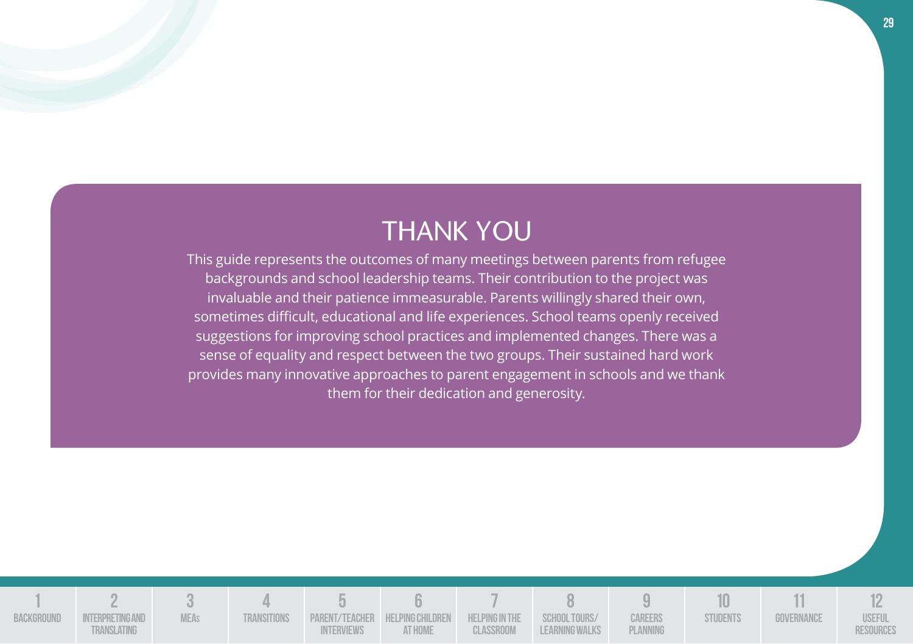## THANK YOU

This guide represents the outcomes of many meetings between parents from refugee backgrounds and school leadership teams. Their contribution to the project was invaluable and their patience immeasurable. Parents willingly shared their own, sometimes difficult, educational and life experiences. School teams openly received suggestions for improving school practices and implemented changes. There was a sense of equality and respect between the two groups. Their sustained hard work provides many innovative approaches to parent engagement in schools and we thank them for their dedication and generosity.

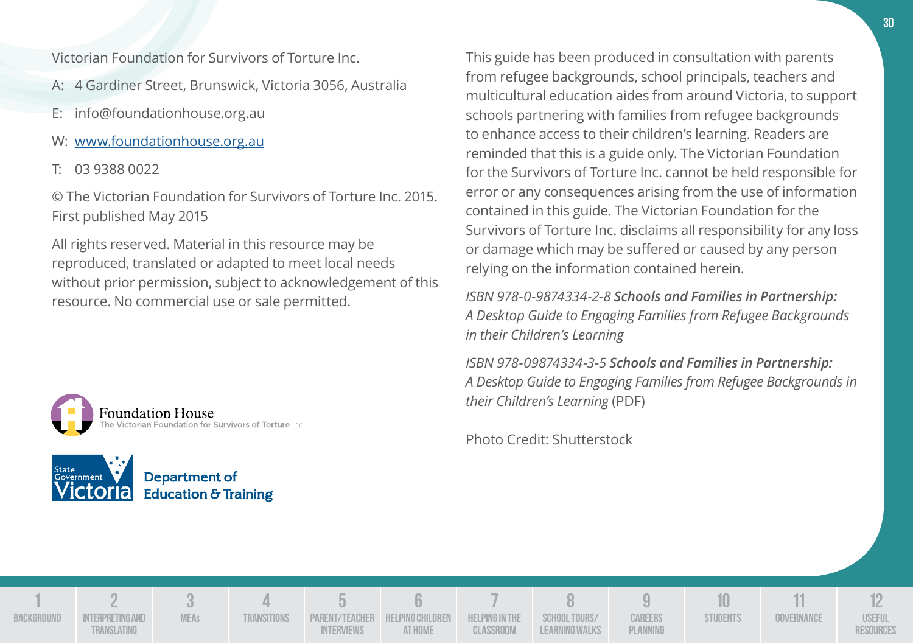Victorian Foundation for Survivors of Torture Inc.

- A: 4 Gardiner Street, Brunswick, Victoria 3056, Australia
- E: info@foundationhouse.org.au
- W: www.foundationhouse.org.au
- T: 03 9388 0022

© The Victorian Foundation for Survivors of Torture Inc. 2015. First published May 2015

All rights reserved. Material in this resource may be reproduced, translated or adapted to meet local needs without prior permission, subject to acknowledgement of this resource. No commercial use or sale permitted.





This guide has been produced in consultation with parents from refugee backgrounds, school principals, teachers and multicultural education aides from around Victoria, to support schools partnering with families from refugee backgrounds to enhance access to their children's learning. Readers are reminded that this is a guide only. The Victorian Foundation for the Survivors of Torture Inc. cannot be held responsible for error or any consequences arising from the use of information contained in this guide. The Victorian Foundation for the Survivors of Torture Inc. disclaims all responsibility for any loss or damage which may be suffered or caused by any person relying on the information contained herein.

*ISBN 978-0-9874334-2-8 Schools and Families in Partnership: A Desktop Guide to Engaging Families from Refugee Backgrounds in their Children's Learning*

*ISBN 978-09874334-3-5 Schools and Families in Partnership: A Desktop Guide to Engaging Families from Refugee Backgrounds in their Children's Learning* (PDF)

Photo Credit: Shutterstock